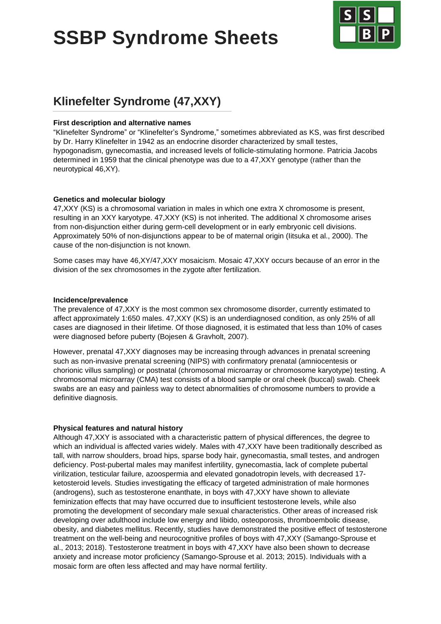# **SSBP Syndrome Sheets**



# **Klinefelter Syndrome (47,XXY)**

#### **First description and alternative names**

"Klinefelter Syndrome" or "Klinefelter's Syndrome," sometimes abbreviated as KS, was first described by Dr. Harry Klinefelter in 1942 as an endocrine disorder characterized by small testes, hypogonadism, gynecomastia, and increased levels of follicle-stimulating hormone. Patricia Jacobs determined in 1959 that the clinical phenotype was due to a 47,XXY genotype (rather than the neurotypical 46,XY).

#### **Genetics and molecular biology**

47,XXY (KS) is a chromosomal variation in males in which one extra X chromosome is present, resulting in an XXY karyotype. 47,XXY (KS) is not inherited. The additional X chromosome arises from non-disjunction either during germ-cell development or in early embryonic cell divisions. Approximately 50% of non-disjunctions appear to be of maternal origin (Iitsuka et al., 2000). The cause of the non-disjunction is not known.

Some cases may have 46,XY/47,XXY mosaicism. Mosaic 47,XXY occurs because of an error in the division of the sex chromosomes in the zygote after fertilization.

#### **Incidence/prevalence**

The prevalence of 47,XXY is the most common sex chromosome disorder, currently estimated to affect approximately 1:650 males. 47,XXY (KS) is an underdiagnosed condition, as only 25% of all cases are diagnosed in their lifetime. Of those diagnosed, it is estimated that less than 10% of cases were diagnosed before puberty (Bojesen & Gravholt, 2007).

However, prenatal 47,XXY diagnoses may be increasing through advances in prenatal screening such as non-invasive prenatal screening (NIPS) with confirmatory prenatal (amniocentesis or chorionic villus sampling) or postnatal (chromosomal microarray or chromosome karyotype) testing. A chromosomal microarray (CMA) test consists of a blood sample or oral cheek (buccal) swab. Cheek swabs are an easy and painless way to detect abnormalities of chromosome numbers to provide a definitive diagnosis.

## **Physical features and natural history**

Although 47,XXY is associated with a characteristic pattern of physical differences, the degree to which an individual is affected varies widely. Males with 47,XXY have been traditionally described as tall, with narrow shoulders, broad hips, sparse body hair, gynecomastia, small testes, and androgen deficiency. Post-pubertal males may manifest infertility, gynecomastia, lack of complete pubertal virilization, testicular failure, azoospermia and elevated gonadotropin levels, with decreased 17 ketosteroid levels. Studies investigating the efficacy of targeted administration of male hormones (androgens), such as testosterone enanthate, in boys with 47,XXY have shown to alleviate feminization effects that may have occurred due to insufficient testosterone levels, while also promoting the development of secondary male sexual characteristics. Other areas of increased risk developing over adulthood include low energy and libido, osteoporosis, thromboembolic disease, obesity, and diabetes mellitus. Recently, studies have demonstrated the positive effect of testosterone treatment on the well-being and neurocognitive profiles of boys with 47,XXY (Samango-Sprouse et al., 2013; 2018). Testosterone treatment in boys with 47,XXY have also been shown to decrease anxiety and increase motor proficiency (Samango-Sprouse et al. 2013; 2015). Individuals with a mosaic form are often less affected and may have normal fertility.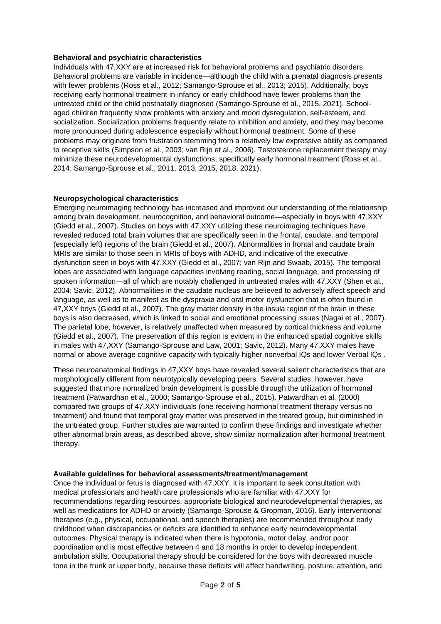#### **Behavioral and psychiatric characteristics**

Individuals with 47,XXY are at increased risk for behavioral problems and psychiatric disorders. Behavioral problems are variable in incidence—although the child with a prenatal diagnosis presents with fewer problems (Ross et al., 2012; Samango-Sprouse et al., 2013; 2015). Additionally, boys receiving early hormonal treatment in infancy or early childhood have fewer problems than the untreated child or the child postnatally diagnosed (Samango-Sprouse et al., 2015, 2021). Schoolaged children frequently show problems with anxiety and mood dysregulation, self-esteem, and socialization. Socialization problems frequently relate to inhibition and anxiety, and they may become more pronounced during adolescence especially without hormonal treatment. Some of these problems may originate from frustration stemming from a relatively low expressive ability as compared to receptive skills (Simpson et al., 2003; van Rijn et al., 2006). Testosterone replacement therapy may minimize these neurodevelopmental dysfunctions, specifically early hormonal treatment (Ross et al., 2014; Samango-Sprouse et al., 2011, 2013, 2015, 2018, 2021).

#### **Neuropsychological characteristics**

Emerging neuroimaging technology has increased and improved our understanding of the relationship among brain development, neurocognition, and behavioral outcome—especially in boys with 47,XXY (Giedd et al., 2007). Studies on boys with 47,XXY utilizing these neuroimaging techniques have revealed reduced total brain volumes that are specifically seen in the frontal, caudate, and temporal (especially left) regions of the brain (Giedd et al., 2007). Abnormalities in frontal and caudate brain MRIs are similar to those seen in MRIs of boys with ADHD, and indicative of the executive dysfunction seen in boys with 47,XXY (Giedd et al., 2007; van Rijn and Swaab, 2015). The temporal lobes are associated with language capacities involving reading, social language, and processing of spoken information—all of which are notably challenged in untreated males with 47,XXY (Shen et al., 2004; Savic, 2012). Abnormalities in the caudate nucleus are believed to adversely affect speech and language, as well as to manifest as the dyspraxia and oral motor dysfunction that is often found in 47,XXY boys (Giedd et al., 2007). The gray matter density in the insula region of the brain in these boys is also decreased, which is linked to social and emotional processing issues (Nagai et al., 2007). The parietal lobe, however, is relatively unaffected when measured by cortical thickness and volume (Giedd et al., 2007). The preservation of this region is evident in the enhanced spatial cognitive skills in males with 47,XXY (Samango-Sprouse and Law, 2001; Savic, 2012). Many 47,XXY males have normal or above average cognitive capacity with typically higher nonverbal IQs and lower Verbal IQs .

These neuroanatomical findings in 47,XXY boys have revealed several salient characteristics that are morphologically different from neurotypically developing peers. Several studies, however, have suggested that more normalized brain development is possible through the utilization of hormonal treatment (Patwardhan et al., 2000; Samango-Sprouse et al., 2015). Patwardhan et al. (2000) compared two groups of 47,XXY individuals (one receiving hormonal treatment therapy versus no treatment) and found that temporal gray matter was preserved in the treated group, but diminished in the untreated group. Further studies are warranted to confirm these findings and investigate whether other abnormal brain areas, as described above, show similar normalization after hormonal treatment therapy.

#### **Available guidelines for behavioral assessments/treatment/management**

Once the individual or fetus is diagnosed with 47,XXY, it is important to seek consultation with medical professionals and health care professionals who are familiar with 47,XXY for recommendations regarding resources, appropriate biological and neurodevelopmental therapies, as well as medications for ADHD or anxiety (Samango-Sprouse & Gropman, 2016). Early interventional therapies (e.g., physical, occupational, and speech therapies) are recommended throughout early childhood when discrepancies or deficits are identified to enhance early neurodevelopmental outcomes. Physical therapy is indicated when there is hypotonia, motor delay, and/or poor coordination and is most effective between 4 and 18 months in order to develop independent ambulation skills. Occupational therapy should be considered for the boys with decreased muscle tone in the trunk or upper body, because these deficits will affect handwriting, posture, attention, and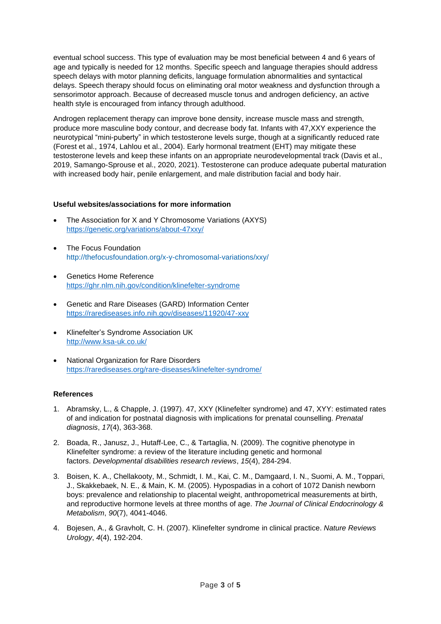eventual school success. This type of evaluation may be most beneficial between 4 and 6 years of age and typically is needed for 12 months. Specific speech and language therapies should address speech delays with motor planning deficits, language formulation abnormalities and syntactical delays. Speech therapy should focus on eliminating oral motor weakness and dysfunction through a sensorimotor approach. Because of decreased muscle tonus and androgen deficiency, an active health style is encouraged from infancy through adulthood.

Androgen replacement therapy can improve bone density, increase muscle mass and strength, produce more masculine body contour, and decrease body fat. Infants with 47,XXY experience the neurotypical "mini-puberty" in which testosterone levels surge, though at a significantly reduced rate (Forest et al., 1974, Lahlou et al., 2004). Early hormonal treatment (EHT) may mitigate these testosterone levels and keep these infants on an appropriate neurodevelopmental track (Davis et al., 2019, Samango-Sprouse et al., 2020, 2021). Testosterone can produce adequate pubertal maturation with increased body hair, penile enlargement, and male distribution facial and body hair.

#### **Useful websites/associations for more information**

- The Association for X and Y Chromosome Variations (AXYS) <https://genetic.org/variations/about-47xxy/>
- The Focus Foundation <http://thefocusfoundation.org/x-y-chromosomal-variations/xxy/>
- Genetics Home Reference <https://ghr.nlm.nih.gov/condition/klinefelter-syndrome>
- Genetic and Rare Diseases (GARD) Information Center <https://rarediseases.info.nih.gov/diseases/11920/47-xxy>
- Klinefelter's Syndrome Association UK <http://www.ksa-uk.co.uk/>
- National Organization for Rare Disorders <https://rarediseases.org/rare-diseases/klinefelter-syndrome/>

#### **References**

- 1. Abramsky, L., & Chapple, J. (1997). 47, XXY (Klinefelter syndrome) and 47, XYY: estimated rates of and indication for postnatal diagnosis with implications for prenatal counselling. *Prenatal diagnosis*, *17*(4), 363-368.
- 2. Boada, R., Janusz, J., Hutaff‐Lee, C., & Tartaglia, N. (2009). The cognitive phenotype in Klinefelter syndrome: a review of the literature including genetic and hormonal factors. *Developmental disabilities research reviews*, *15*(4), 284-294.
- 3. Boisen, K. A., Chellakooty, M., Schmidt, I. M., Kai, C. M., Damgaard, I. N., Suomi, A. M., Toppari, J., Skakkebaek, N. E., & Main, K. M. (2005). Hypospadias in a cohort of 1072 Danish newborn boys: prevalence and relationship to placental weight, anthropometrical measurements at birth, and reproductive hormone levels at three months of age. *The Journal of Clinical Endocrinology & Metabolism*, *90*(7), 4041-4046.
- 4. Bojesen, A., & Gravholt, C. H. (2007). Klinefelter syndrome in clinical practice. *Nature Reviews Urology*, *4*(4), 192-204.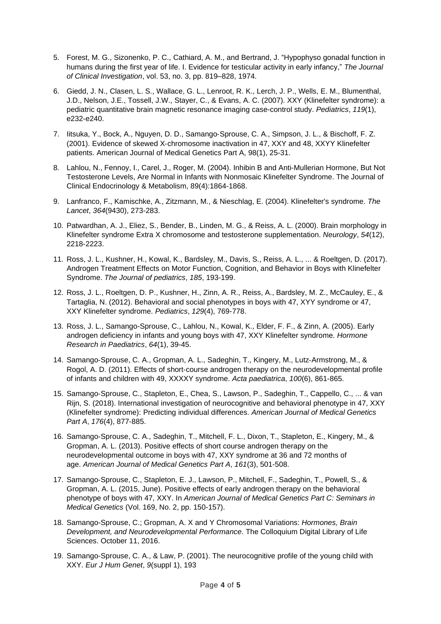- 5. Forest, M. G., Sizonenko, P. C., Cathiard, A. M., and Bertrand, J. "Hypophyso gonadal function in humans during the first year of life. I. Evidence for testicular activity in early infancy," *The Journal of Clinical Investigation*, vol. 53, no. 3, pp. 819–828, 1974.
- 6. Giedd, J. N., Clasen, L. S., Wallace, G. L., Lenroot, R. K., Lerch, J. P., Wells, E. M., Blumenthal, J.D., Nelson, J.E., Tossell, J.W., Stayer, C., & Evans, A. C. (2007). XXY (Klinefelter syndrome): a pediatric quantitative brain magnetic resonance imaging case-control study. *Pediatrics*, *119*(1), e232-e240.
- 7. Iitsuka, Y., Bock, A., Nguyen, D. D., Samango‐Sprouse, C. A., Simpson, J. L., & Bischoff, F. Z. (2001). Evidence of skewed X‐chromosome inactivation in 47, XXY and 48, XXYY Klinefelter patients. American Journal of Medical Genetics Part A, 98(1), 25-31.
- 8. Lahlou, N., Fennoy, I., Carel, J., Roger, M. (2004). Inhibin B and Anti-Mullerian Hormone, But Not Testosterone Levels, Are Normal in Infants with Nonmosaic Klinefelter Syndrome. The Journal of Clinical Endocrinology & Metabolism, 89(4):1864-1868.
- 9. Lanfranco, F., Kamischke, A., Zitzmann, M., & Nieschlag, E. (2004). Klinefelter's syndrome. *The Lancet*, *364*(9430), 273-283.
- 10. Patwardhan, A. J., Eliez, S., Bender, B., Linden, M. G., & Reiss, A. L. (2000). Brain morphology in Klinefelter syndrome Extra X chromosome and testosterone supplementation. *Neurology*, *54*(12), 2218-2223.
- 11. Ross, J. L., Kushner, H., Kowal, K., Bardsley, M., Davis, S., Reiss, A. L., ... & Roeltgen, D. (2017). Androgen Treatment Effects on Motor Function, Cognition, and Behavior in Boys with Klinefelter Syndrome. *The Journal of pediatrics*, *185*, 193-199.
- 12. Ross, J. L., Roeltgen, D. P., Kushner, H., Zinn, A. R., Reiss, A., Bardsley, M. Z., McCauley, E., & Tartaglia, N. (2012). Behavioral and social phenotypes in boys with 47, XYY syndrome or 47, XXY Klinefelter syndrome. *Pediatrics*, *129*(4), 769-778.
- 13. Ross, J. L., Samango-Sprouse, C., Lahlou, N., Kowal, K., Elder, F. F., & Zinn, A. (2005). Early androgen deficiency in infants and young boys with 47, XXY Klinefelter syndrome. *Hormone Research in Paediatrics*, *64*(1), 39-45.
- 14. Samango‐Sprouse, C. A., Gropman, A. L., Sadeghin, T., Kingery, M., Lutz‐Armstrong, M., & Rogol, A. D. (2011). Effects of short-course androgen therapy on the neurodevelopmental profile of infants and children with 49, XXXXY syndrome. *Acta paediatrica*, *100*(6), 861-865.
- 15. Samango‐Sprouse, C., Stapleton, E., Chea, S., Lawson, P., Sadeghin, T., Cappello, C., ... & van Rijn, S. (2018). International investigation of neurocognitive and behavioral phenotype in 47, XXY (Klinefelter syndrome): Predicting individual differences. *American Journal of Medical Genetics Part A*, *176*(4), 877-885.
- 16. Samango‐Sprouse, C. A., Sadeghin, T., Mitchell, F. L., Dixon, T., Stapleton, E., Kingery, M., & Gropman, A. L. (2013). Positive effects of short course androgen therapy on the neurodevelopmental outcome in boys with 47, XXY syndrome at 36 and 72 months of age. *American Journal of Medical Genetics Part A*, *161*(3), 501-508.
- 17. Samango‐Sprouse, C., Stapleton, E. J., Lawson, P., Mitchell, F., Sadeghin, T., Powell, S., & Gropman, A. L. (2015, June). Positive effects of early androgen therapy on the behavioral phenotype of boys with 47, XXY. In *American Journal of Medical Genetics Part C: Seminars in Medical Genetics* (Vol. 169, No. 2, pp. 150-157).
- 18. Samango-Sprouse, C.; Gropman, A. X and Y Chromosomal Variations: *Hormones, Brain Development, and Neurodevelopmental Performance*. The Colloquium Digital Library of Life Sciences. October 11, 2016.
- 19. Samango-Sprouse, C. A., & Law, P. (2001). The neurocognitive profile of the young child with XXY. *Eur J Hum Genet*, *9*(suppl 1), 193